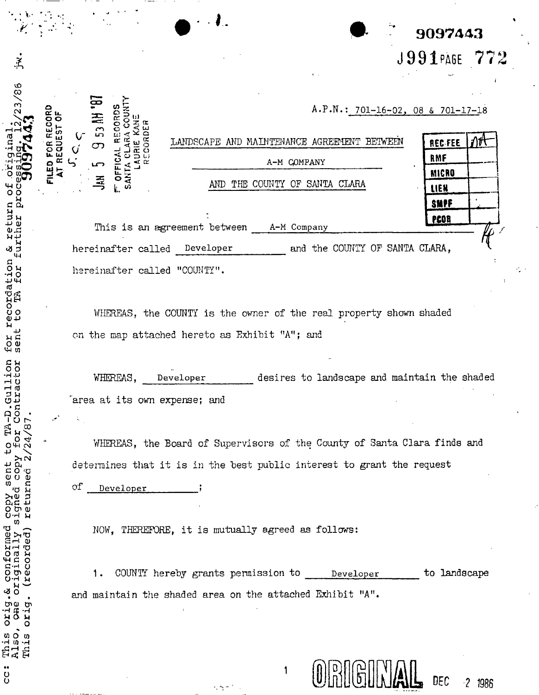| 9097443      |  |
|--------------|--|
| J991PAGE 772 |  |

|   | 18. HV CS |                    |                              |                                             |                           |                                | $A.P.N.: 701-16-02, 08 & 701-17-18$ |    |
|---|-----------|--------------------|------------------------------|---------------------------------------------|---------------------------|--------------------------------|-------------------------------------|----|
|   | ဟ         |                    |                              | LANDSCAPE AND MAINTENANCE AGREEMENT BETWEEN |                           |                                | <b>REC-FEE</b>                      | ΛΉ |
| Û |           | œ                  |                              |                                             | A-M COMPANY               |                                | RMF                                 |    |
|   |           |                    |                              |                                             |                           |                                | <b>MICRO</b>                        |    |
|   | 죠         | ပာ<br>È.           |                              | AND.                                        | THE COUNTY OF SANTA CLARA |                                | LIEN                                |    |
|   |           |                    |                              |                                             |                           |                                | SMPF                                |    |
|   |           |                    | This is an agreement between |                                             | A-M Company               |                                | PEOR                                |    |
|   |           | hereinafter called |                              | Developer                                   |                           | and the COUNTY OF SANTA CLARA, |                                     |    |

WHEREAS, the COUNTY is the owner of the real property shown shaded on the map attached hereto as Exhibit "A"; and

desires to landscape and maintain the shaded WHEREAS, Developer area at its own expense; and

WHEREAS, the Board of Supervisors of the County of Santa Clara finds and determines that it is in the best public interest to grant the request

оf Developer

hereinafter called "COUNTY".

 $\dot{\tilde{z}}$ 

23/86

۴d<br>O

turn

ø

recordation<br>: to TA for

for sen

-D.Gullion<br>Contractor

PA. HO

sent

op. .

conformed

بي<br>و

This Also, This

 $\ddot{\phantom{0}}$ 

**C** 

orig.<br>Che prid

originally ecorded

urther <del>ه</del> й

FILED FOR RECORD

ő

REQUEST

NOW, THEREFORE, it is mutually agreed as follows:

COUNTY hereby grants permission to Developer to landscape 1, and maintain the shaded area on the attached Exhibit "A".

1



DEC

 $2 1986$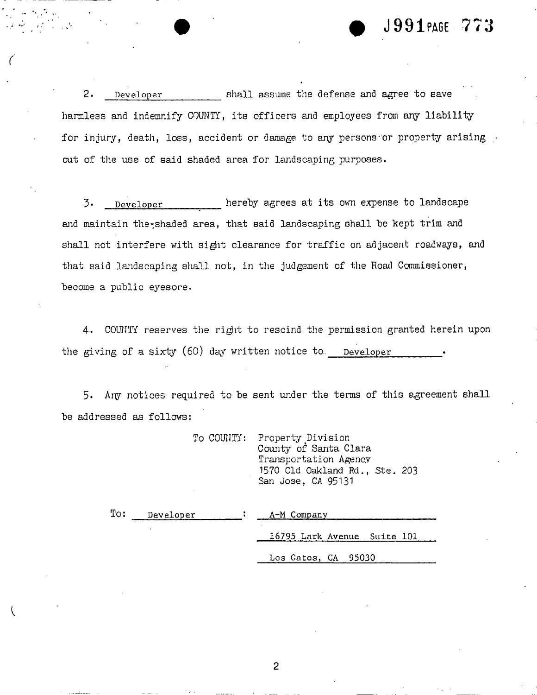## **# ' # J991PA6E - 77 3**

2. **Developer** shall assume the defense and agree to save harmless and indemnify COUNTY, its officers and employees from any liability for injury, death, loss, accident or damage to any persons or property arising out of the use of said shaded area for landscaping purposes.

3. **Developer** hereby agrees at its own expense to landscape and maintain the-shaded area, that said landscaping shall be kept trim and shall not interfere with sight clearance for traffic on adjacent roadways, and that said landscaping shall not, in the judgement of the Road Commissioner, become a public eyesore.

4. COUNTY reserves the right to rescind the permission granted herein upon the giving of a sixty (60) day written notice to. Developer

5- Any notices required to be sent under the terms of this agreement shall be addressed as follows:

|  | To COUNTY: Property Division<br>County of Santa Clara |
|--|-------------------------------------------------------|
|  | Transportation Agency                                 |
|  | 1570 Old Oakland Rd., Ste. 203                        |
|  | San Jose, CA 95131                                    |

| To: | Developer | A-M Company                 |
|-----|-----------|-----------------------------|
|     |           | 16795 Lark Avenue Suite 101 |
|     |           | Los Gatos, CA 95030         |

2

 $\overline{\mathcal{L}}$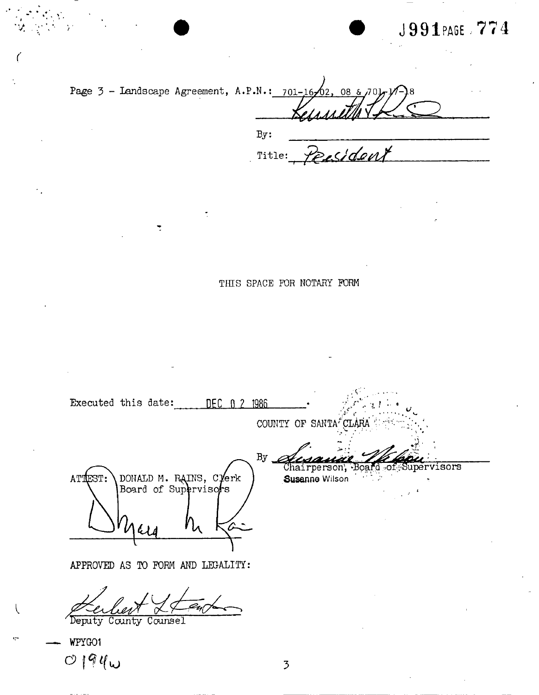# **J39I** PAG E **, 77 4**

| Page 3 - Landscape Agreement, A.P.N.: $701-16\sqrt{02}$ , 08 & $701\sqrt{14}$ |                            |
|-------------------------------------------------------------------------------|----------------------------|
|                                                                               | By:<br>Persident<br>Title: |

**THIS SPACE FOR NOTARY FORM** 

Executed this date: DEC 0 2 1986 COUNTY OF SANTA<sup>F</sup>CLARA  $By$ Chairperson, Board of Supervisors DONALD M. RAINS, Clerk<br>Board of Supervisors ATTEST: Susanne Wilson

APPROVED AS TO FORM AND LEGALITY:

 $\overline{\phantom{a}}$ 

Deputy County Counsel

WFYG01  $O$   $194\omega$  3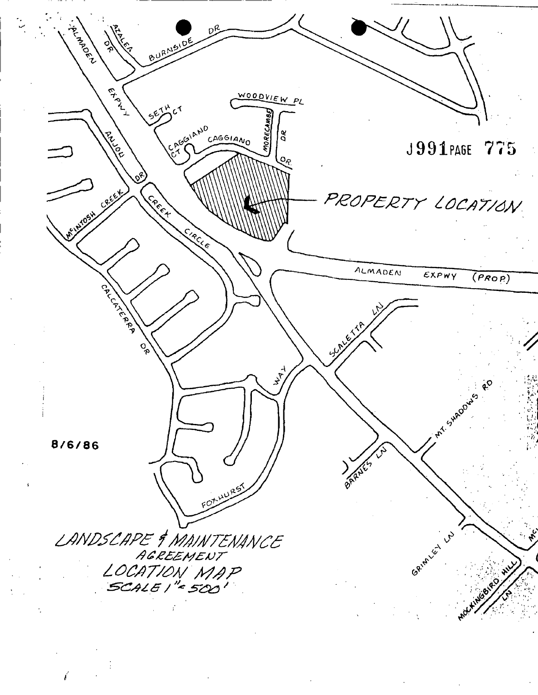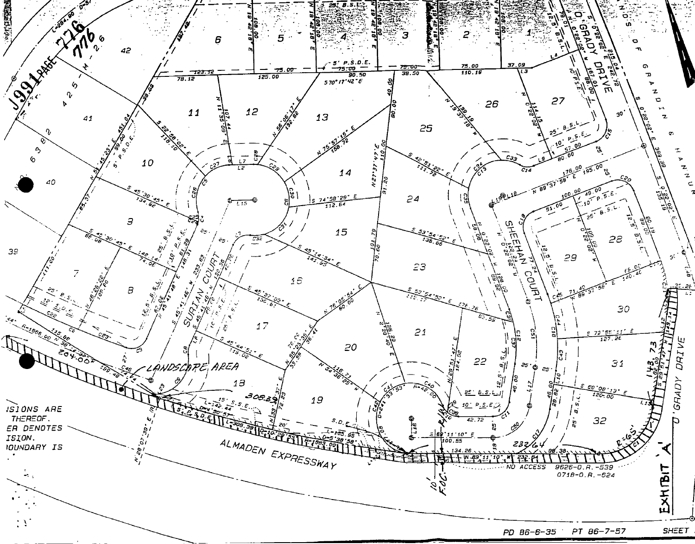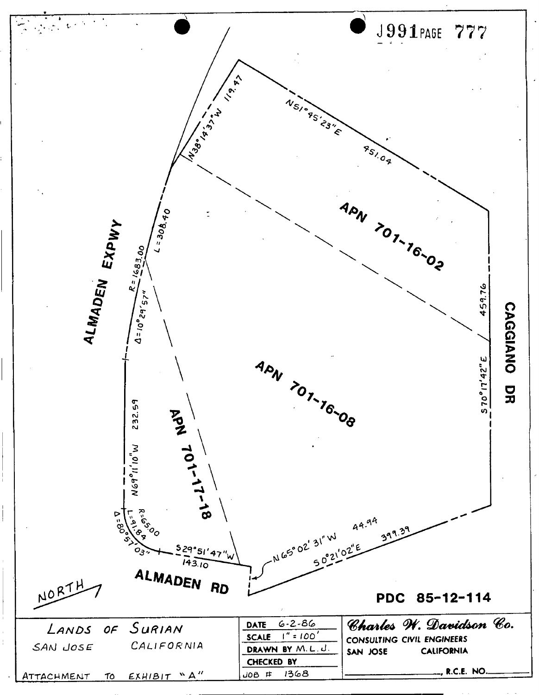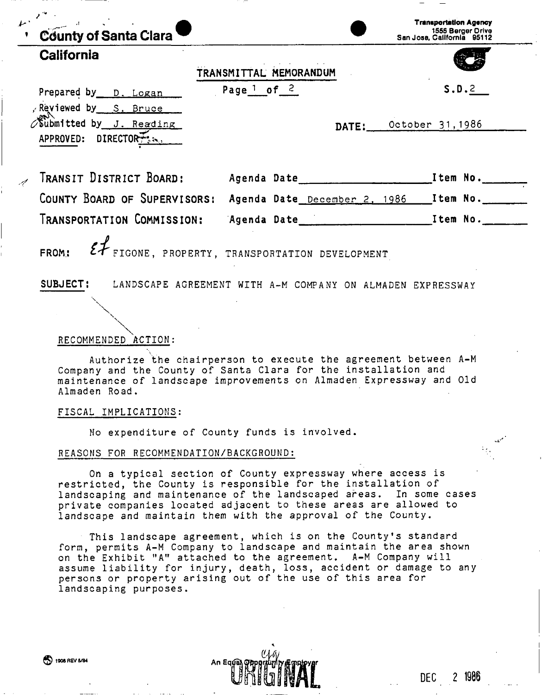| County of Santa Clara                               |                                                                                                                                                                                                         | <b>Transportation Agency</b><br>1555 Berger Drive<br>San Jose, California 95112 |
|-----------------------------------------------------|---------------------------------------------------------------------------------------------------------------------------------------------------------------------------------------------------------|---------------------------------------------------------------------------------|
| California                                          | TRANSMITTAL MEMORANDUM                                                                                                                                                                                  |                                                                                 |
| Prepared by D. Logan<br>Reviewed by S. Bruce        | Page $\frac{1}{2}$ of $\frac{2}{3}$                                                                                                                                                                     | S.D.2                                                                           |
| Submitted by J. Reading<br>APPROVED: DIRECTORT: 22. | DATE:                                                                                                                                                                                                   | October 31,1986                                                                 |
|                                                     |                                                                                                                                                                                                         |                                                                                 |
|                                                     | COUNTY BOARD OF SUPERVISORS: Agenda Date December 2, 1986 [Item No.                                                                                                                                     |                                                                                 |
|                                                     |                                                                                                                                                                                                         |                                                                                 |
| FROM:                                               |                                                                                                                                                                                                         |                                                                                 |
| RECOMMENDED ACTION:                                 | $\mathcal{E}\mathcal{F}_{\texttt{FIGONE}}$ , PROPERTY, TRANSPORTATION DEVELOPMENT<br>SUBJECT: LANDSCAPE AGREEMENT WITH A-M COMPANY ON ALMADEN EXPRESSWAY                                                |                                                                                 |
| Almaden Road.                                       | Authorize the chairperson to execute the agreement between A-M<br>Company and the County of Santa Clara for the installation and<br>maintenance of landscape improvements on Almaden Expressway and Old |                                                                                 |
| FISCAL IMPLICATIONS:                                |                                                                                                                                                                                                         |                                                                                 |
|                                                     | No expenditure of County funds is involved.                                                                                                                                                             |                                                                                 |

On a typical section of County expressway where access is restricted, the County is responsible for the installation of landscaping and maintenance of the landscaped areas. In some cases private companies located adjacent to these areas are allowed to landscape and maintain them with the approval of the County.

This landscape agreement, which is on the County's standard form, permits A-M Company to landscape and maintain the area shown on the Exhibit "A" attached to the agreement. A-M Company will assume liability for injury, death, loss, accident or damage to any persons or property arising out of the use of this area for landscaping purposes.

**DEC 2** 

<sup>®</sup> 1906 REV 5/84 An Eq⊥